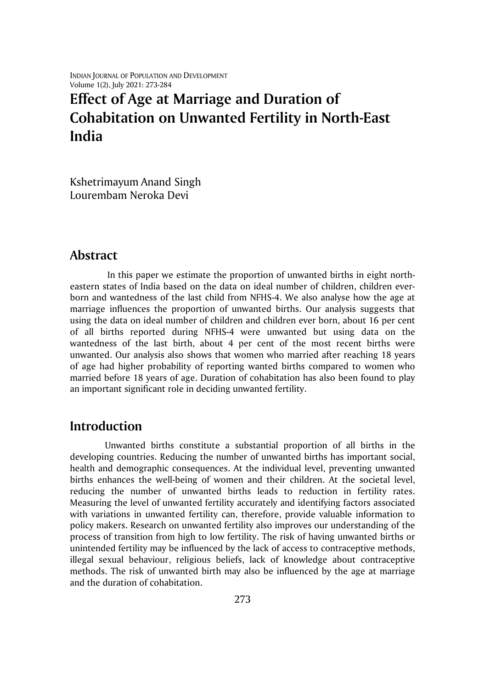INDIAN JOURNAL OF POPULATION AND DEVELOPMENT Volume 1(2), July 2021: 273-284

# **Effect of Age at Marriage and Duration of Cohabitation on Unwanted Fertility in North-East India**

Kshetrimayum Anand Singh Lourembam Neroka Devi

### **Abstract**

In this paper we estimate the proportion of unwanted births in eight northeastern states of India based on the data on ideal number of children, children everborn and wantedness of the last child from NFHS-4. We also analyse how the age at marriage influences the proportion of unwanted births. Our analysis suggests that using the data on ideal number of children and children ever born, about 16 per cent of all births reported during NFHS-4 were unwanted but using data on the wantedness of the last birth, about 4 per cent of the most recent births were unwanted. Our analysis also shows that women who married after reaching 18 years of age had higher probability of reporting wanted births compared to women who married before 18 years of age. Duration of cohabitation has also been found to play an important significant role in deciding unwanted fertility.

# **Introduction**

Unwanted births constitute a substantial proportion of all births in the developing countries. Reducing the number of unwanted births has important social, health and demographic consequences. At the individual level, preventing unwanted births enhances the well-being of women and their children. At the societal level, reducing the number of unwanted births leads to reduction in fertility rates. Measuring the level of unwanted fertility accurately and identifying factors associated with variations in unwanted fertility can, therefore, provide valuable information to policy makers. Research on unwanted fertility also improves our understanding of the process of transition from high to low fertility. The risk of having unwanted births or unintended fertility may be influenced by the lack of access to contraceptive methods, illegal sexual behaviour, religious beliefs, lack of knowledge about contraceptive methods. The risk of unwanted birth may also be influenced by the age at marriage and the duration of cohabitation.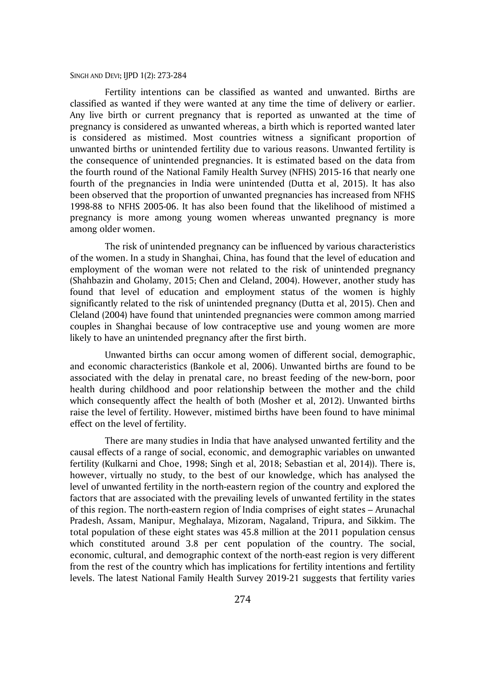Fertility intentions can be classified as wanted and unwanted. Births are classified as wanted if they were wanted at any time the time of delivery or earlier. Any live birth or current pregnancy that is reported as unwanted at the time of pregnancy is considered as unwanted whereas, a birth which is reported wanted later is considered as mistimed. Most countries witness a significant proportion of unwanted births or unintended fertility due to various reasons. Unwanted fertility is the consequence of unintended pregnancies. It is estimated based on the data from the fourth round of the National Family Health Survey (NFHS) 2015-16 that nearly one fourth of the pregnancies in India were unintended (Dutta et al, 2015). It has also been observed that the proportion of unwanted pregnancies has increased from NFHS 1998-88 to NFHS 2005-06. It has also been found that the likelihood of mistimed a pregnancy is more among young women whereas unwanted pregnancy is more among older women.

The risk of unintended pregnancy can be influenced by various characteristics of the women. In a study in Shanghai, China, has found that the level of education and employment of the woman were not related to the risk of unintended pregnancy (Shahbazin and Gholamy, 2015; Chen and Cleland, 2004). However, another study has found that level of education and employment status of the women is highly significantly related to the risk of unintended pregnancy (Dutta et al, 2015). Chen and Cleland (2004) have found that unintended pregnancies were common among married couples in Shanghai because of low contraceptive use and young women are more likely to have an unintended pregnancy after the first birth.

Unwanted births can occur among women of different social, demographic, and economic characteristics (Bankole et al, 2006). Unwanted births are found to be associated with the delay in prenatal care, no breast feeding of the new-born, poor health during childhood and poor relationship between the mother and the child which consequently affect the health of both (Mosher et al, 2012). Unwanted births raise the level of fertility. However, mistimed births have been found to have minimal effect on the level of fertility.

There are many studies in India that have analysed unwanted fertility and the causal effects of a range of social, economic, and demographic variables on unwanted fertility (Kulkarni and Choe, 1998; Singh et al, 2018; Sebastian et al, 2014)). There is, however, virtually no study, to the best of our knowledge, which has analysed the level of unwanted fertility in the north-eastern region of the country and explored the factors that are associated with the prevailing levels of unwanted fertility in the states of this region. The north-eastern region of India comprises of eight states – Arunachal Pradesh, Assam, Manipur, Meghalaya, Mizoram, Nagaland, Tripura, and Sikkim. The total population of these eight states was 45.8 million at the 2011 population census which constituted around 3.8 per cent population of the country. The social, economic, cultural, and demographic context of the north-east region is very different from the rest of the country which has implications for fertility intentions and fertility levels. The latest National Family Health Survey 2019-21 suggests that fertility varies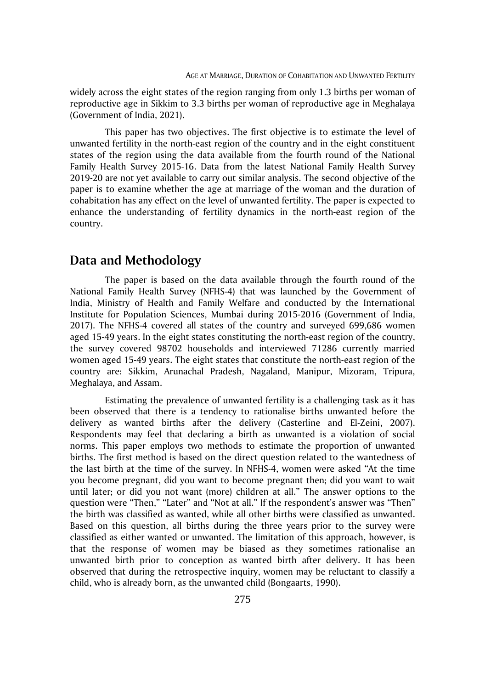widely across the eight states of the region ranging from only 1.3 births per woman of reproductive age in Sikkim to 3.3 births per woman of reproductive age in Meghalaya (Government of India, 2021).

This paper has two objectives. The first objective is to estimate the level of unwanted fertility in the north-east region of the country and in the eight constituent states of the region using the data available from the fourth round of the National Family Health Survey 2015-16. Data from the latest National Family Health Survey 2019-20 are not yet available to carry out similar analysis. The second objective of the paper is to examine whether the age at marriage of the woman and the duration of cohabitation has any effect on the level of unwanted fertility. The paper is expected to enhance the understanding of fertility dynamics in the north-east region of the country.

### **Data and Methodology**

The paper is based on the data available through the fourth round of the National Family Health Survey (NFHS-4) that was launched by the Government of India, Ministry of Health and Family Welfare and conducted by the International Institute for Population Sciences, Mumbai during 2015-2016 (Government of India, 2017). The NFHS-4 covered all states of the country and surveyed 699,686 women aged 15-49 years. In the eight states constituting the north-east region of the country, the survey covered 98702 households and interviewed 71286 currently married women aged 15-49 years. The eight states that constitute the north-east region of the country are: Sikkim, Arunachal Pradesh, Nagaland, Manipur, Mizoram, Tripura, Meghalaya, and Assam.

Estimating the prevalence of unwanted fertility is a challenging task as it has been observed that there is a tendency to rationalise births unwanted before the delivery as wanted births after the delivery (Casterline and El-Zeini, 2007). Respondents may feel that declaring a birth as unwanted is a violation of social norms. This paper employs two methods to estimate the proportion of unwanted births. The first method is based on the direct question related to the wantedness of the last birth at the time of the survey. In NFHS-4, women were asked "At the time you become pregnant, did you want to become pregnant then; did you want to wait until later; or did you not want (more) children at all." The answer options to the question were "Then," "Later" and "Not at all." If the respondent's answer was "Then" the birth was classified as wanted, while all other births were classified as unwanted. Based on this question, all births during the three years prior to the survey were classified as either wanted or unwanted. The limitation of this approach, however, is that the response of women may be biased as they sometimes rationalise an unwanted birth prior to conception as wanted birth after delivery. It has been observed that during the retrospective inquiry, women may be reluctant to classify a child, who is already born, as the unwanted child (Bongaarts, 1990).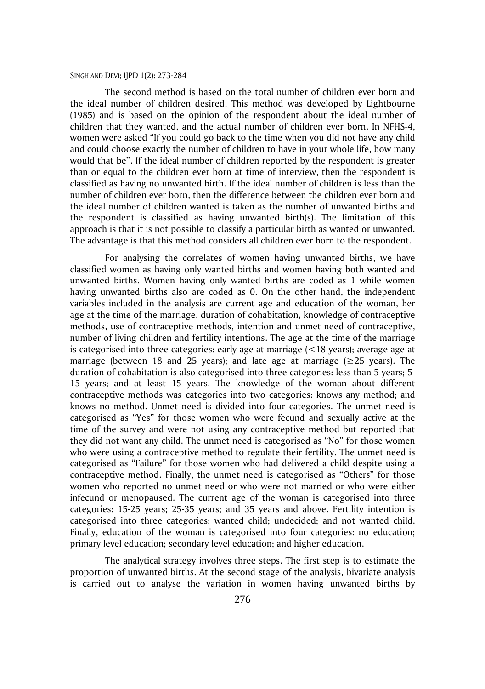The second method is based on the total number of children ever born and the ideal number of children desired. This method was developed by Lightbourne (1985) and is based on the opinion of the respondent about the ideal number of children that they wanted, and the actual number of children ever born. In NFHS-4, women were asked "If you could go back to the time when you did not have any child and could choose exactly the number of children to have in your whole life, how many would that be". If the ideal number of children reported by the respondent is greater than or equal to the children ever born at time of interview, then the respondent is classified as having no unwanted birth. If the ideal number of children is less than the number of children ever born, then the difference between the children ever born and the ideal number of children wanted is taken as the number of unwanted births and the respondent is classified as having unwanted birth(s). The limitation of this approach is that it is not possible to classify a particular birth as wanted or unwanted. The advantage is that this method considers all children ever born to the respondent.

For analysing the correlates of women having unwanted births, we have classified women as having only wanted births and women having both wanted and unwanted births. Women having only wanted births are coded as 1 while women having unwanted births also are coded as 0. On the other hand, the independent variables included in the analysis are current age and education of the woman, her age at the time of the marriage, duration of cohabitation, knowledge of contraceptive methods, use of contraceptive methods, intention and unmet need of contraceptive, number of living children and fertility intentions. The age at the time of the marriage is categorised into three categories: early age at marriage  $(<18$  years); average age at marriage (between 18 and 25 years); and late age at marriage  $(\geq 25$  years). The duration of cohabitation is also categorised into three categories: less than 5 years; 5- 15 years; and at least 15 years. The knowledge of the woman about different contraceptive methods was categories into two categories: knows any method; and knows no method. Unmet need is divided into four categories. The unmet need is categorised as "Yes" for those women who were fecund and sexually active at the time of the survey and were not using any contraceptive method but reported that they did not want any child. The unmet need is categorised as "No" for those women who were using a contraceptive method to regulate their fertility. The unmet need is categorised as "Failure" for those women who had delivered a child despite using a contraceptive method. Finally, the unmet need is categorised as "Others" for those women who reported no unmet need or who were not married or who were either infecund or menopaused. The current age of the woman is categorised into three categories: 15-25 years; 25-35 years; and 35 years and above. Fertility intention is categorised into three categories: wanted child; undecided; and not wanted child. Finally, education of the woman is categorised into four categories: no education; primary level education; secondary level education; and higher education.

The analytical strategy involves three steps. The first step is to estimate the proportion of unwanted births. At the second stage of the analysis, bivariate analysis is carried out to analyse the variation in women having unwanted births by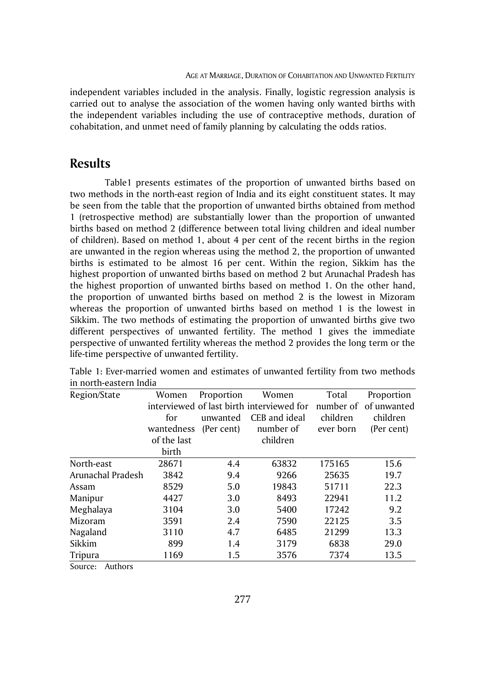independent variables included in the analysis. Finally, logistic regression analysis is carried out to analyse the association of the women having only wanted births with the independent variables including the use of contraceptive methods, duration of cohabitation, and unmet need of family planning by calculating the odds ratios.

# **Results**

Table1 presents estimates of the proportion of unwanted births based on two methods in the north-east region of India and its eight constituent states. It may be seen from the table that the proportion of unwanted births obtained from method 1 (retrospective method) are substantially lower than the proportion of unwanted births based on method 2 (difference between total living children and ideal number of children). Based on method 1, about 4 per cent of the recent births in the region are unwanted in the region whereas using the method 2, the proportion of unwanted births is estimated to be almost 16 per cent. Within the region, Sikkim has the highest proportion of unwanted births based on method 2 but Arunachal Pradesh has the highest proportion of unwanted births based on method 1. On the other hand, the proportion of unwanted births based on method 2 is the lowest in Mizoram whereas the proportion of unwanted births based on method 1 is the lowest in Sikkim. The two methods of estimating the proportion of unwanted births give two different perspectives of unwanted fertility. The method 1 gives the immediate perspective of unwanted fertility whereas the method 2 provides the long term or the life-time perspective of unwanted fertility.

| Region/State      | Women       | Proportion | Women                                     | Total     | Proportion            |
|-------------------|-------------|------------|-------------------------------------------|-----------|-----------------------|
|                   |             |            | interviewed of last birth interviewed for |           | number of of unwanted |
|                   | for         | unwanted   | CEB and ideal                             | children  | children              |
|                   | wantedness  | (Per cent) | number of                                 | ever born | (Per cent)            |
|                   | of the last |            | children                                  |           |                       |
|                   | birth       |            |                                           |           |                       |
| North-east        | 28671       | 4.4        | 63832                                     | 175165    | 15.6                  |
| Arunachal Pradesh | 3842        | 9.4        | 9266                                      | 25635     | 19.7                  |
| Assam             | 8529        | 5.0        | 19843                                     | 51711     | 22.3                  |
| Manipur           | 4427        | 3.0        | 8493                                      | 22941     | 11.2                  |
| Meghalaya         | 3104        | 3.0        | 5400                                      | 17242     | 9.2                   |
| Mizoram           | 3591        | 2.4        | 7590                                      | 22125     | 3.5                   |
| Nagaland          | 3110        | 4.7        | 6485                                      | 21299     | 13.3                  |
| Sikkim            | 899         | 1.4        | 3179                                      | 6838      | 29.0                  |
| Tripura           | 1169        | 1.5        | 3576                                      | 7374      | 13.5                  |

Table 1: Ever-married women and estimates of unwanted fertility from two methods in north-eastern India

Source: Authors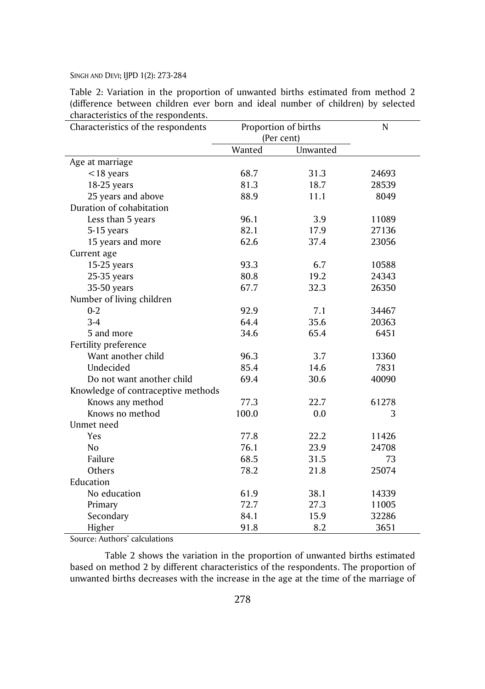Table 2: Variation in the proportion of unwanted births estimated from method 2 (difference between children ever born and ideal number of children) by selected characteristics of the respondents.

| Characteristics of the respondents | Proportion of births |          | N     |  |
|------------------------------------|----------------------|----------|-------|--|
|                                    | (Per cent)           |          |       |  |
|                                    | Wanted               | Unwanted |       |  |
| Age at marriage                    |                      |          |       |  |
| $<$ 18 years                       | 68.7                 | 31.3     | 24693 |  |
| 18-25 years                        | 81.3                 | 18.7     | 28539 |  |
| 25 years and above                 | 88.9                 | 11.1     | 8049  |  |
| Duration of cohabitation           |                      |          |       |  |
| Less than 5 years                  | 96.1                 | 3.9      | 11089 |  |
| 5-15 years                         | 82.1                 | 17.9     | 27136 |  |
| 15 years and more                  | 62.6                 | 37.4     | 23056 |  |
| Current age                        |                      |          |       |  |
| 15-25 years                        | 93.3                 | 6.7      | 10588 |  |
| 25-35 years                        | 80.8                 | 19.2     | 24343 |  |
| 35-50 years                        | 67.7                 | 32.3     | 26350 |  |
| Number of living children          |                      |          |       |  |
| $0 - 2$                            | 92.9                 | 7.1      | 34467 |  |
| $3-4$                              | 64.4                 | 35.6     | 20363 |  |
| 5 and more                         | 34.6                 | 65.4     | 6451  |  |
| Fertility preference               |                      |          |       |  |
| Want another child                 | 96.3                 | 3.7      | 13360 |  |
| Undecided                          | 85.4                 | 14.6     | 7831  |  |
| Do not want another child          | 69.4                 | 30.6     | 40090 |  |
| Knowledge of contraceptive methods |                      |          |       |  |
| Knows any method                   | 77.3                 | 22.7     | 61278 |  |
| Knows no method                    | 100.0                | 0.0      | 3     |  |
| Unmet need                         |                      |          |       |  |
| Yes                                | 77.8                 | 22.2     | 11426 |  |
| N <sub>o</sub>                     | 76.1                 | 23.9     | 24708 |  |
| Failure                            | 68.5                 | 31.5     | 73    |  |
| Others                             | 78.2                 | 21.8     | 25074 |  |
| Education                          |                      |          |       |  |
| No education                       | 61.9                 | 38.1     | 14339 |  |
| Primary                            | 72.7                 | 27.3     | 11005 |  |
| Secondary                          | 84.1                 | 15.9     | 32286 |  |
| Higher                             | 91.8                 | 8.2      | 3651  |  |

Source: Authors' calculations

Table 2 shows the variation in the proportion of unwanted births estimated based on method 2 by different characteristics of the respondents. The proportion of unwanted births decreases with the increase in the age at the time of the marriage of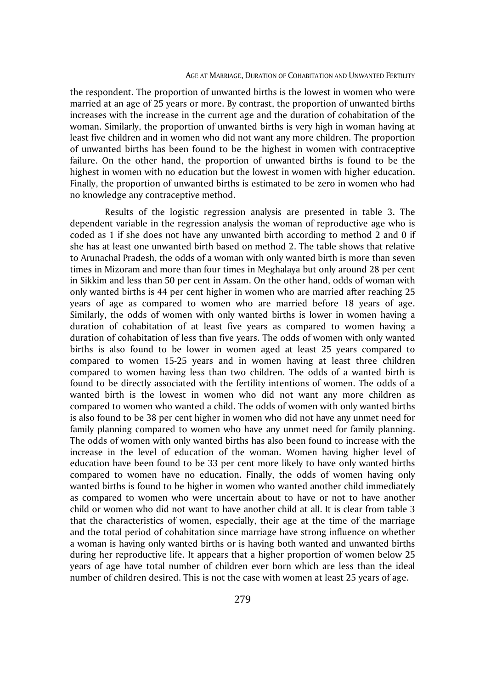#### AGE AT MARRIAGE, DURATION OF COHABITATION AND UNWANTED FERTILITY

the respondent. The proportion of unwanted births is the lowest in women who were married at an age of 25 years or more. By contrast, the proportion of unwanted births increases with the increase in the current age and the duration of cohabitation of the woman. Similarly, the proportion of unwanted births is very high in woman having at least five children and in women who did not want any more children. The proportion of unwanted births has been found to be the highest in women with contraceptive failure. On the other hand, the proportion of unwanted births is found to be the highest in women with no education but the lowest in women with higher education. Finally, the proportion of unwanted births is estimated to be zero in women who had no knowledge any contraceptive method.

Results of the logistic regression analysis are presented in table 3. The dependent variable in the regression analysis the woman of reproductive age who is coded as 1 if she does not have any unwanted birth according to method 2 and 0 if she has at least one unwanted birth based on method 2. The table shows that relative to Arunachal Pradesh, the odds of a woman with only wanted birth is more than seven times in Mizoram and more than four times in Meghalaya but only around 28 per cent in Sikkim and less than 50 per cent in Assam. On the other hand, odds of woman with only wanted births is 44 per cent higher in women who are married after reaching 25 years of age as compared to women who are married before 18 years of age. Similarly, the odds of women with only wanted births is lower in women having a duration of cohabitation of at least five years as compared to women having a duration of cohabitation of less than five years. The odds of women with only wanted births is also found to be lower in women aged at least 25 years compared to compared to women 15-25 years and in women having at least three children compared to women having less than two children. The odds of a wanted birth is found to be directly associated with the fertility intentions of women. The odds of a wanted birth is the lowest in women who did not want any more children as compared to women who wanted a child. The odds of women with only wanted births is also found to be 38 per cent higher in women who did not have any unmet need for family planning compared to women who have any unmet need for family planning. The odds of women with only wanted births has also been found to increase with the increase in the level of education of the woman. Women having higher level of education have been found to be 33 per cent more likely to have only wanted births compared to women have no education. Finally, the odds of women having only wanted births is found to be higher in women who wanted another child immediately as compared to women who were uncertain about to have or not to have another child or women who did not want to have another child at all. It is clear from table 3 that the characteristics of women, especially, their age at the time of the marriage and the total period of cohabitation since marriage have strong influence on whether a woman is having only wanted births or is having both wanted and unwanted births during her reproductive life. It appears that a higher proportion of women below 25 years of age have total number of children ever born which are less than the ideal number of children desired. This is not the case with women at least 25 years of age.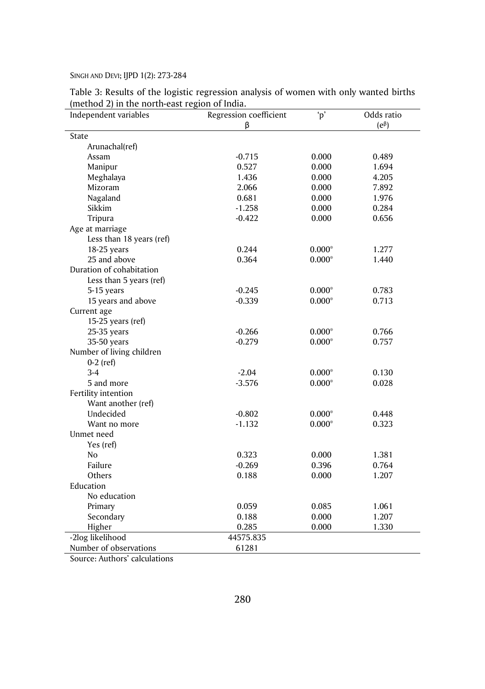| Independent variables     | Regression coefficient | $\mathbf{p}'$ | Odds ratio    |  |  |  |  |
|---------------------------|------------------------|---------------|---------------|--|--|--|--|
|                           | β                      |               | $(e^{\beta})$ |  |  |  |  |
| State                     |                        |               |               |  |  |  |  |
| Arunachal(ref)            |                        |               |               |  |  |  |  |
| Assam                     | $-0.715$               | 0.000         | 0.489         |  |  |  |  |
| Manipur                   | 0.527                  | 0.000         | 1.694         |  |  |  |  |
| Meghalaya                 | 1.436                  | 0.000         | 4.205         |  |  |  |  |
| Mizoram                   | 2.066                  | 0.000         | 7.892         |  |  |  |  |
| Nagaland                  | 0.681                  | 0.000         | 1.976         |  |  |  |  |
| Sikkim                    | $-1.258$               | 0.000         | 0.284         |  |  |  |  |
| Tripura                   | $-0.422$               | 0.000         | 0.656         |  |  |  |  |
| Age at marriage           |                        |               |               |  |  |  |  |
| Less than 18 years (ref)  |                        |               |               |  |  |  |  |
| 18-25 years               | 0.244                  | $0.000*$      | 1.277         |  |  |  |  |
| 25 and above              | 0.364                  | $0.000*$      | 1.440         |  |  |  |  |
| Duration of cohabitation  |                        |               |               |  |  |  |  |
| Less than 5 years (ref)   |                        |               |               |  |  |  |  |
| 5-15 years                | $-0.245$               | $0.000*$      | 0.783         |  |  |  |  |
| 15 years and above        | $-0.339$               | $0.000*$      | 0.713         |  |  |  |  |
| Current age               |                        |               |               |  |  |  |  |
| 15-25 years (ref)         |                        |               |               |  |  |  |  |
| 25-35 years               | $-0.266$               | $0.000*$      | 0.766         |  |  |  |  |
| 35-50 years               | $-0.279$               | $0.000*$      | 0.757         |  |  |  |  |
| Number of living children |                        |               |               |  |  |  |  |
| $0-2$ (ref)               |                        |               |               |  |  |  |  |
| $3-4$                     | $-2.04$                | $0.000*$      | 0.130         |  |  |  |  |
| 5 and more                | $-3.576$               | $0.000*$      | 0.028         |  |  |  |  |
| Fertility intention       |                        |               |               |  |  |  |  |
| Want another (ref)        |                        |               |               |  |  |  |  |
| Undecided                 | $-0.802$               | $0.000*$      | 0.448         |  |  |  |  |
| Want no more              | $-1.132$               | $0.000*$      | 0.323         |  |  |  |  |
| Unmet need                |                        |               |               |  |  |  |  |
| Yes (ref)                 |                        |               |               |  |  |  |  |
| No                        | 0.323                  | 0.000         | 1.381         |  |  |  |  |
| Failure                   | $-0.269$               | 0.396         | 0.764         |  |  |  |  |
| Others                    | 0.188                  | 0.000         | 1.207         |  |  |  |  |
| Education                 |                        |               |               |  |  |  |  |
| No education              |                        |               |               |  |  |  |  |
| Primary                   | 0.059                  | 0.085         | 1.061         |  |  |  |  |
| Secondary                 | 0.188                  | 0.000         | 1.207         |  |  |  |  |
| Higher                    | 0.285                  | 0.000         | 1.330         |  |  |  |  |
| -2log likelihood          | 44575.835              |               |               |  |  |  |  |
| Number of observations    | 61281                  |               |               |  |  |  |  |

Table 3: Results of the logistic regression analysis of women with only wanted births (method 2) in the north-east region of India.

Source: Authors' calculations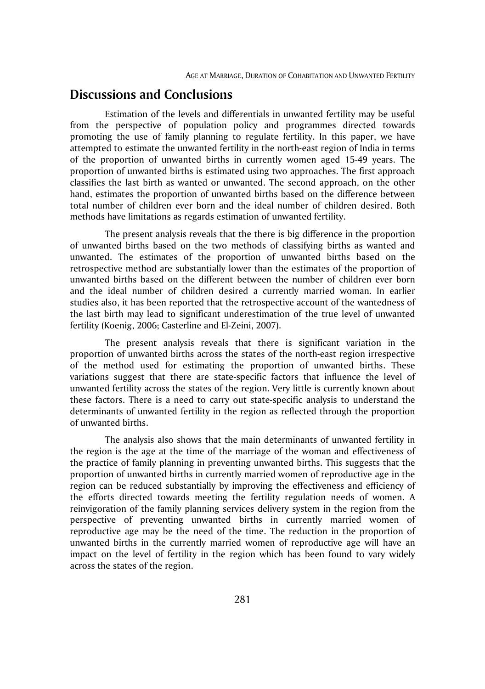# **Discussions and Conclusions**

Estimation of the levels and differentials in unwanted fertility may be useful from the perspective of population policy and programmes directed towards promoting the use of family planning to regulate fertility. In this paper, we have attempted to estimate the unwanted fertility in the north-east region of India in terms of the proportion of unwanted births in currently women aged 15-49 years. The proportion of unwanted births is estimated using two approaches. The first approach classifies the last birth as wanted or unwanted. The second approach, on the other hand, estimates the proportion of unwanted births based on the difference between total number of children ever born and the ideal number of children desired. Both methods have limitations as regards estimation of unwanted fertility.

The present analysis reveals that the there is big difference in the proportion of unwanted births based on the two methods of classifying births as wanted and unwanted. The estimates of the proportion of unwanted births based on the retrospective method are substantially lower than the estimates of the proportion of unwanted births based on the different between the number of children ever born and the ideal number of children desired a currently married woman. In earlier studies also, it has been reported that the retrospective account of the wantedness of the last birth may lead to significant underestimation of the true level of unwanted fertility (Koenig, 2006; Casterline and El-Zeini, 2007).

The present analysis reveals that there is significant variation in the proportion of unwanted births across the states of the north-east region irrespective of the method used for estimating the proportion of unwanted births. These variations suggest that there are state-specific factors that influence the level of unwanted fertility across the states of the region. Very little is currently known about these factors. There is a need to carry out state-specific analysis to understand the determinants of unwanted fertility in the region as reflected through the proportion of unwanted births.

The analysis also shows that the main determinants of unwanted fertility in the region is the age at the time of the marriage of the woman and effectiveness of the practice of family planning in preventing unwanted births. This suggests that the proportion of unwanted births in currently married women of reproductive age in the region can be reduced substantially by improving the effectiveness and efficiency of the efforts directed towards meeting the fertility regulation needs of women. A reinvigoration of the family planning services delivery system in the region from the perspective of preventing unwanted births in currently married women of reproductive age may be the need of the time. The reduction in the proportion of unwanted births in the currently married women of reproductive age will have an impact on the level of fertility in the region which has been found to vary widely across the states of the region.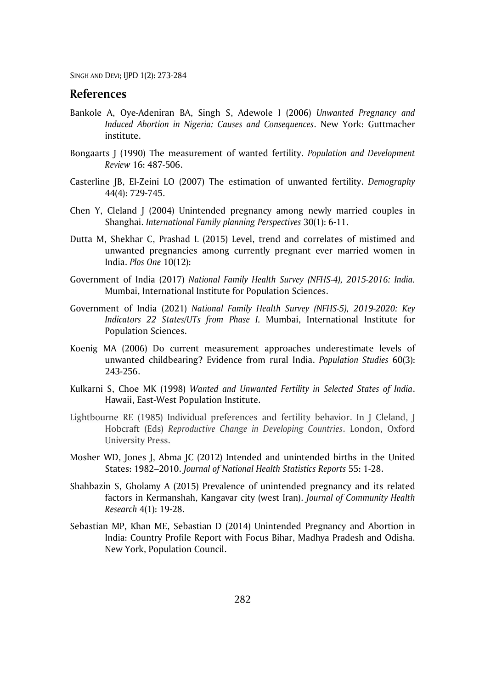### **References**

- Bankole A, Oye-Adeniran BA, Singh S, Adewole I (2006) *Unwanted Pregnancy and Induced Abortion in Nigeria: Causes and Consequences*. New York: Guttmacher institute.
- Bongaarts J (1990) The measurement of wanted fertility. *Population and Development Review* 16: 487-506.
- Casterline JB, El-Zeini LO (2007) The estimation of unwanted fertility. *Demography* 44(4): 729-745.
- Chen Y, Cleland J (2004) Unintended pregnancy among newly married couples in Shanghai. *International Family planning Perspectives* 30(1): 6-11.
- Dutta M, Shekhar C, Prashad L (2015) Level, trend and correlates of mistimed and unwanted pregnancies among currently pregnant ever married women in India. *Plos One* 10(12):
- Government of India (2017) *National Family Health Survey (NFHS-4), 2015-2016: India.* Mumbai, International Institute for Population Sciences.
- Government of India (2021) *National Family Health Survey (NFHS-5), 2019-2020: Key Indicators 22 States/UTs from Phase I.* Mumbai, International Institute for Population Sciences.
- Koenig MA (2006) Do current measurement approaches underestimate levels of unwanted childbearing? Evidence from rural India. *Population Studies* 60(3): 243-256.
- Kulkarni S, Choe MK (1998) *Wanted and Unwanted Fertility in Selected States of India*. Hawaii, East-West Population Institute.
- Lightbourne RE (1985) Individual preferences and fertility behavior. In J Cleland, J Hobcraft (Eds) *Reproductive Change in Developing Countries*. London, Oxford University Press.
- Mosher WD, Jones J, Abma JC (2012) Intended and unintended births in the United States: 1982–2010. *Journal of National Health Statistics Reports* 55: 1-28.
- Shahbazin S, Gholamy A (2015) Prevalence of unintended pregnancy and its related factors in Kermanshah, Kangavar city (west Iran). *Journal of Community Health Research* 4(1): 19-28.
- Sebastian MP, Khan ME, Sebastian D (2014) Unintended Pregnancy and Abortion in India: Country Profile Report with Focus Bihar, Madhya Pradesh and Odisha. New York, Population Council.